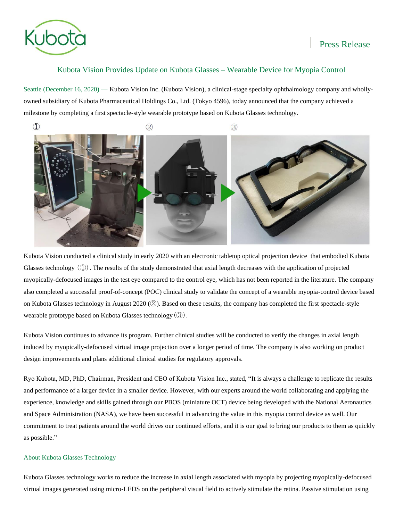

# Kubota Vision Provides Update on Kubota Glasses – Wearable Device for Myopia Control

Seattle (December 16, 2020) — Kubota Vision Inc. (Kubota Vision), a clinical-stage specialty ophthalmology company and whollyowned subsidiary of Kubota Pharmaceutical Holdings Co., Ltd. (Tokyo 4596), today announced that the company achieved a milestone by completing a first spectacle-style wearable prototype based on Kubota Glasses technology.



Kubota Vision conducted a clinical study in early 2020 with an electronic tabletop optical projection device that embodied Kubota Glasses technology  $(\mathbb{O})$ . The results of the study demonstrated that axial length decreases with the application of projected myopically-defocused images in the test eye compared to the control eye, which has not been reported in the literature. The company also completed a successful proof-of-concept (POC) clinical study to validate the concept of a wearable myopia-control device based on Kubota Glasses technology in August 2020 (②). Based on these results, the company has completed the first spectacle-style wearable prototype based on Kubota Glasses technology $(\textcircled{3})$ .

Kubota Vision continues to advance its program. Further clinical studies will be conducted to verify the changes in axial length induced by myopically-defocused virtual image projection over a longer period of time. The company is also working on product design improvements and plans additional clinical studies for regulatory approvals.

Ryo Kubota, MD, PhD, Chairman, President and CEO of Kubota Vision Inc., stated, "It is always a challenge to replicate the results and performance of a larger device in a smaller device. However, with our experts around the world collaborating and applying the experience, knowledge and skills gained through our PBOS (miniature OCT) device being developed with the National Aeronautics and Space Administration (NASA), we have been successful in advancing the value in this myopia control device as well. Our commitment to treat patients around the world drives our continued efforts, and it is our goal to bring our products to them as quickly as possible."

## About Kubota Glasses Technology

Kubota Glasses technology works to reduce the increase in axial length associated with myopia by projecting myopically-defocused virtual images generated using micro-LEDS on the peripheral visual field to actively stimulate the retina. Passive stimulation using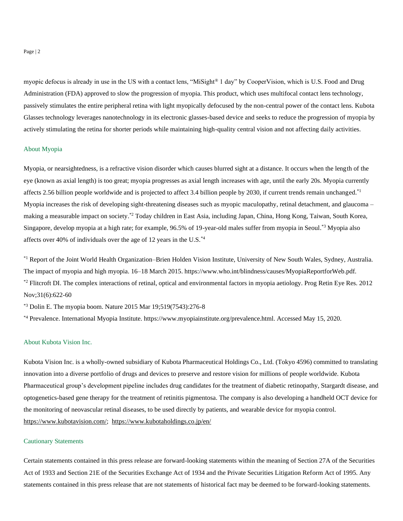Page | 2

myopic defocus is already in use in the US with a contact lens, "MiSight® 1 day" by CooperVision, which is U.S. Food and Drug Administration (FDA) approved to slow the progression of myopia. This product, which uses multifocal contact lens technology, passively stimulates the entire peripheral retina with light myopically defocused by the non-central power of the contact lens. Kubota Glasses technology leverages nanotechnology in its electronic glasses-based device and seeks to reduce the progression of myopia by actively stimulating the retina for shorter periods while maintaining high-quality central vision and not affecting daily activities.

#### About Myopia

Myopia, or nearsightedness, is a refractive vision disorder which causes blurred sight at a distance. It occurs when the length of the eye (known as axial length) is too great; myopia progresses as axial length increases with age, until the early 20s. Myopia currently affects 2.56 billion people worldwide and is projected to affect 3.4 billion people by 2030, if current trends remain unchanged.<sup>\*1</sup> Myopia increases the risk of developing sight-threatening diseases such as myopic maculopathy, retinal detachment, and glaucoma – making a measurable impact on society.<sup>\*2</sup> Today children in East Asia, including Japan, China, Hong Kong, Taiwan, South Korea, Singapore, develop myopia at a high rate; for example, 96.5% of 19-year-old males suffer from myopia in Seoul.<sup>\*3</sup> Myopia also affects over 40% of individuals over the age of 12 years in the U.S. $^{*4}$ 

\*1 Report of the Joint World Health Organization–Brien Holden Vision Institute, University of New South Wales, Sydney, Australia. The impact of myopia and high myopia. 16–18 March 2015. https://www.who.int/blindness/causes/MyopiaReportforWeb.pdf.  $*$ <sup>2</sup> Flitcroft DI. The complex interactions of retinal, optical and environmental factors in myopia aetiology. Prog Retin Eye Res. 2012 Nov;31(6):622-60

 $*$ <sup>3</sup> Dolin E. The myopia boom. Nature 2015 Mar 19:519(7543):276-8

\*4 Prevalence. International Myopia Institute. https://www.myopiainstitute.org/prevalence.html. Accessed May 15, 2020.

#### About Kubota Vision Inc.

Kubota Vision Inc. is a wholly-owned subsidiary of Kubota Pharmaceutical Holdings Co., Ltd. (Tokyo 4596) committed to translating innovation into a diverse portfolio of drugs and devices to preserve and restore vision for millions of people worldwide. Kubota Pharmaceutical group's development pipeline includes drug candidates for the treatment of diabetic retinopathy, Stargardt disease, and optogenetics-based gene therapy for the treatment of retinitis pigmentosa. The company is also developing a handheld OCT device for the monitoring of neovascular retinal diseases, to be used directly by patients, and wearable device for myopia control. [https://www.kubotavision.com/;](https://www.kubotavision.com/) <https://www.kubotaholdings.co.jp/en/>

### Cautionary Statements

Certain statements contained in this press release are forward-looking statements within the meaning of Section 27A of the Securities Act of 1933 and Section 21E of the Securities Exchange Act of 1934 and the Private Securities Litigation Reform Act of 1995. Any statements contained in this press release that are not statements of historical fact may be deemed to be forward-looking statements.